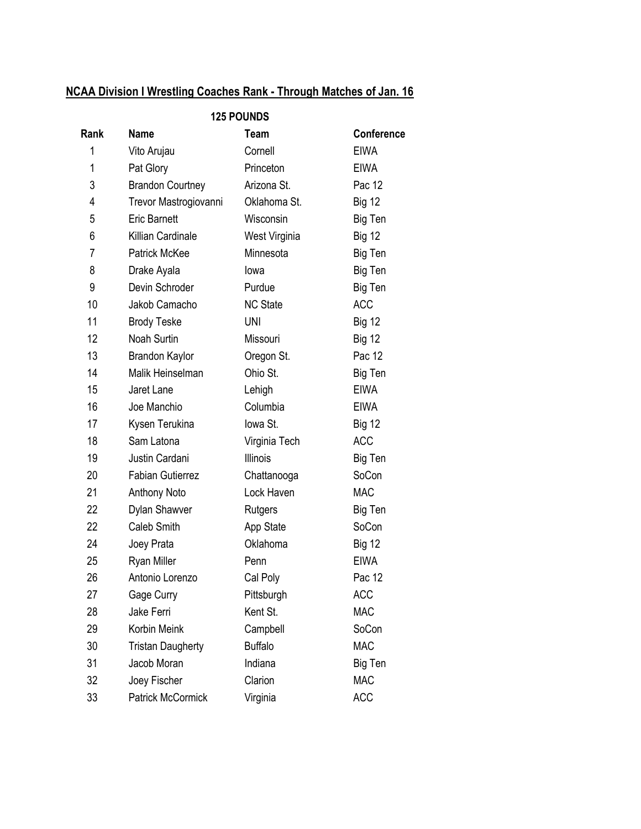# NCAA Division I Wrestling Coaches Rank - Through Matches of Jan. 16

| <b>125 POUNDS</b> |                          |                 |                   |  |
|-------------------|--------------------------|-----------------|-------------------|--|
| Rank              | <b>Name</b>              | <b>Team</b>     | <b>Conference</b> |  |
| 1                 | Vito Arujau              | Cornell         | <b>EIWA</b>       |  |
| 1                 | Pat Glory                | Princeton       | <b>EIWA</b>       |  |
| 3                 | <b>Brandon Courtney</b>  | Arizona St.     | Pac 12            |  |
| 4                 | Trevor Mastrogiovanni    | Oklahoma St.    | <b>Big 12</b>     |  |
| 5                 | <b>Eric Barnett</b>      | Wisconsin       | Big Ten           |  |
| 6                 | Killian Cardinale        | West Virginia   | <b>Big 12</b>     |  |
| $\overline{7}$    | <b>Patrick McKee</b>     | Minnesota       | Big Ten           |  |
| 8                 | Drake Ayala              | lowa            | Big Ten           |  |
| 9                 | Devin Schroder           | Purdue          | Big Ten           |  |
| 10                | Jakob Camacho            | <b>NC State</b> | <b>ACC</b>        |  |
| 11                | <b>Brody Teske</b>       | <b>UNI</b>      | <b>Big 12</b>     |  |
| 12                | Noah Surtin              | Missouri        | <b>Big 12</b>     |  |
| 13                | <b>Brandon Kaylor</b>    | Oregon St.      | Pac 12            |  |
| 14                | Malik Heinselman         | Ohio St.        | Big Ten           |  |
| 15                | Jaret Lane               | Lehigh          | <b>EIWA</b>       |  |
| 16                | Joe Manchio              | Columbia        | <b>EIWA</b>       |  |
| 17                | Kysen Terukina           | lowa St.        | <b>Big 12</b>     |  |
| 18                | Sam Latona               | Virginia Tech   | <b>ACC</b>        |  |
| 19                | Justin Cardani           | <b>Illinois</b> | Big Ten           |  |
| 20                | <b>Fabian Gutierrez</b>  | Chattanooga     | SoCon             |  |
| 21                | <b>Anthony Noto</b>      | Lock Haven      | <b>MAC</b>        |  |
| 22                | Dylan Shawver            | Rutgers         | Big Ten           |  |
| 22                | Caleb Smith              | App State       | SoCon             |  |
| 24                | Joey Prata               | Oklahoma        | <b>Big 12</b>     |  |
| 25                | Ryan Miller              | Penn            | <b>EIWA</b>       |  |
| 26                | Antonio Lorenzo          | Cal Poly        | Pac 12            |  |
| 27                | Gage Curry               | Pittsburgh      | <b>ACC</b>        |  |
| 28                | Jake Ferri               | Kent St.        | <b>MAC</b>        |  |
| 29                | Korbin Meink             | Campbell        | SoCon             |  |
| 30                | <b>Tristan Daugherty</b> | <b>Buffalo</b>  | <b>MAC</b>        |  |
| 31                | Jacob Moran              | Indiana         | Big Ten           |  |
| 32                | Joey Fischer             | Clarion         | <b>MAC</b>        |  |
| 33                | <b>Patrick McCormick</b> | Virginia        | <b>ACC</b>        |  |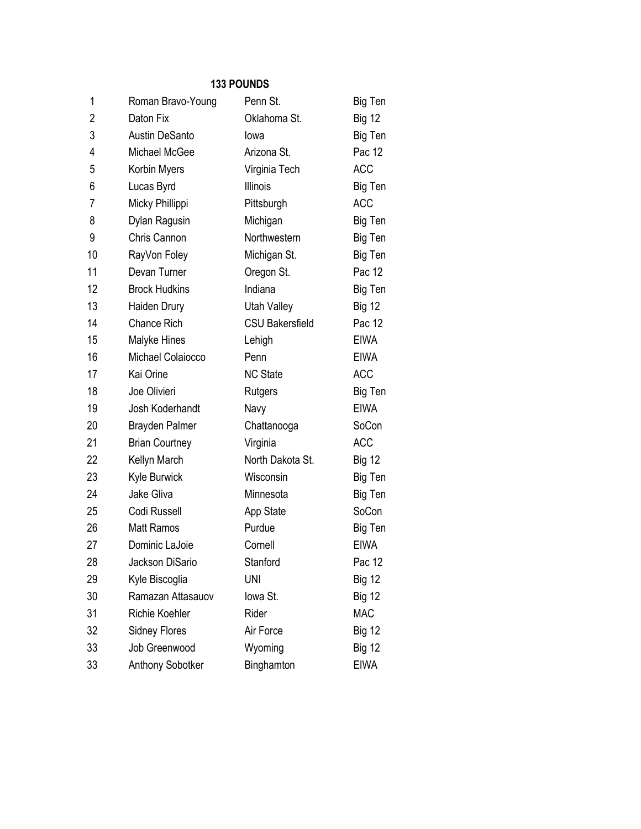| 1              | Roman Bravo-Young     | Penn St.               | Big Ten       |
|----------------|-----------------------|------------------------|---------------|
| $\overline{2}$ | Daton Fix             | Oklahoma St.           | <b>Big 12</b> |
| 3              | <b>Austin DeSanto</b> | lowa                   | Big Ten       |
| 4              | Michael McGee         | Arizona St.            | Pac 12        |
| 5              | Korbin Myers          | Virginia Tech          | <b>ACC</b>    |
| 6              | Lucas Byrd            | <b>Illinois</b>        | Big Ten       |
| 7              | Micky Phillippi       | Pittsburgh             | <b>ACC</b>    |
| 8              | Dylan Ragusin         | Michigan               | Big Ten       |
| 9              | Chris Cannon          | Northwestern           | Big Ten       |
| 10             | RayVon Foley          | Michigan St.           | Big Ten       |
| 11             | Devan Turner          | Oregon St.             | Pac 12        |
| 12             | <b>Brock Hudkins</b>  | Indiana                | Big Ten       |
| 13             | Haiden Drury          | Utah Valley            | <b>Big 12</b> |
| 14             | <b>Chance Rich</b>    | <b>CSU Bakersfield</b> | Pac 12        |
| 15             | Malyke Hines          | Lehigh                 | <b>EIWA</b>   |
| 16             | Michael Colaiocco     | Penn                   | <b>EIWA</b>   |
| 17             | Kai Orine             | <b>NC State</b>        | <b>ACC</b>    |
| 18             | Joe Olivieri          | Rutgers                | Big Ten       |
| 19             | Josh Koderhandt       | Navy                   | <b>EIWA</b>   |
| 20             | <b>Brayden Palmer</b> | Chattanooga            | SoCon         |
| 21             | <b>Brian Courtney</b> | Virginia               | <b>ACC</b>    |
| 22             | Kellyn March          | North Dakota St.       | <b>Big 12</b> |
| 23             | Kyle Burwick          | Wisconsin              | Big Ten       |
| 24             | Jake Gliva            | Minnesota              | Big Ten       |
| 25             | Codi Russell          | App State              | SoCon         |
| 26             | <b>Matt Ramos</b>     | Purdue                 | Big Ten       |
| 27             | Dominic LaJoie        | Cornell                | <b>EIWA</b>   |
| 28             | Jackson DiSario       | Stanford               | Pac 12        |
| 29             | Kyle Biscoglia        | <b>UNI</b>             | <b>Big 12</b> |
| 30             | Ramazan Attasauov     | lowa St.               | <b>Big 12</b> |
| 31             | <b>Richie Koehler</b> | Rider                  | <b>MAC</b>    |
| 32             | <b>Sidney Flores</b>  | Air Force              | <b>Big 12</b> |
| 33             | Job Greenwood         | Wyoming                | <b>Big 12</b> |
| 33             | Anthony Sobotker      | Binghamton             | <b>EIWA</b>   |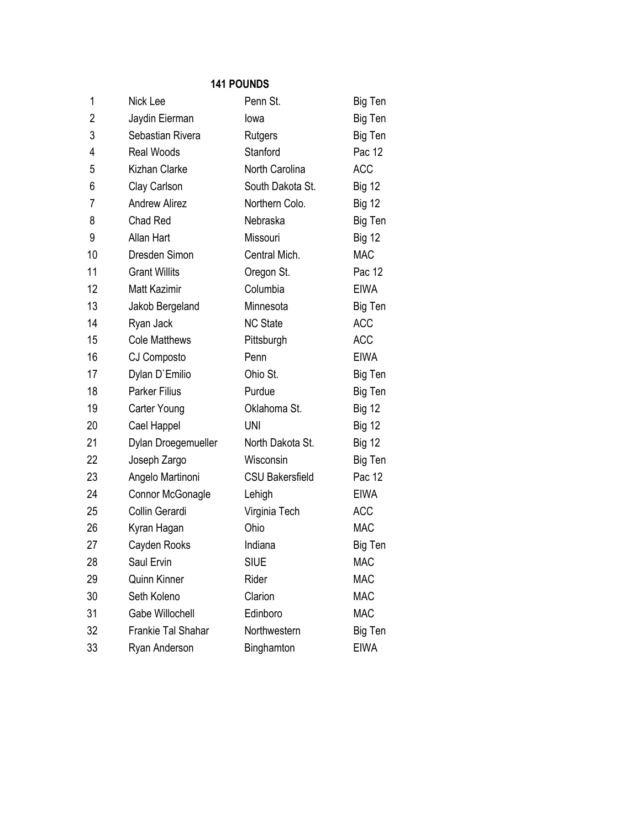| 1              | Nick Lee             | Penn St.               | Big Ten       |
|----------------|----------------------|------------------------|---------------|
| $\overline{2}$ | Jaydin Eierman       | lowa                   | Big Ten       |
| 3              | Sebastian Rivera     | Rutgers                | Big Ten       |
| 4              | <b>Real Woods</b>    | Stanford               | Pac 12        |
| 5              | Kizhan Clarke        | North Carolina         | <b>ACC</b>    |
| 6              | Clay Carlson         | South Dakota St.       | <b>Big 12</b> |
| 7              | <b>Andrew Alirez</b> | Northern Colo.         | <b>Big 12</b> |
| 8              | <b>Chad Red</b>      | Nebraska               | Big Ten       |
| 9              | <b>Allan Hart</b>    | Missouri               | <b>Big 12</b> |
| 10             | Dresden Simon        | Central Mich.          | <b>MAC</b>    |
| 11             | <b>Grant Willits</b> | Oregon St.             | Pac 12        |
| 12             | <b>Matt Kazimir</b>  | Columbia               | <b>EIWA</b>   |
| 13             | Jakob Bergeland      | Minnesota              | Big Ten       |
| 14             | Ryan Jack            | <b>NC State</b>        | <b>ACC</b>    |
| 15             | <b>Cole Matthews</b> | Pittsburgh             | <b>ACC</b>    |
| 16             | CJ Composto          | Penn                   | <b>EIWA</b>   |
| 17             | Dylan D'Emilio       | Ohio St.               | Big Ten       |
| 18             | <b>Parker Filius</b> | Purdue                 | Big Ten       |
| 19             | Carter Young         | Oklahoma St.           | <b>Big 12</b> |
| 20             | Cael Happel          | <b>UNI</b>             | <b>Big 12</b> |
| 21             | Dylan Droegemueller  | North Dakota St.       | <b>Big 12</b> |
| 22             | Joseph Zargo         | Wisconsin              | Big Ten       |
| 23             | Angelo Martinoni     | <b>CSU Bakersfield</b> | Pac 12        |
| 24             | Connor McGonagle     | Lehigh                 | <b>EIWA</b>   |
| 25             | Collin Gerardi       | Virginia Tech          | <b>ACC</b>    |
| 26             | Kyran Hagan          | Ohio                   | <b>MAC</b>    |
| 27             | Cayden Rooks         | Indiana                | Big Ten       |
| 28             | Saul Ervin           | SIUE                   | <b>MAC</b>    |
| 29             | Quinn Kinner         | Rider                  | <b>MAC</b>    |
| 30             | Seth Koleno          | Clarion                | <b>MAC</b>    |
| 31             | Gabe Willochell      | Edinboro               | <b>MAC</b>    |
| 32             | Frankie Tal Shahar   | Northwestern           | Big Ten       |
| 33             | Ryan Anderson        | Binghamton             | <b>EIWA</b>   |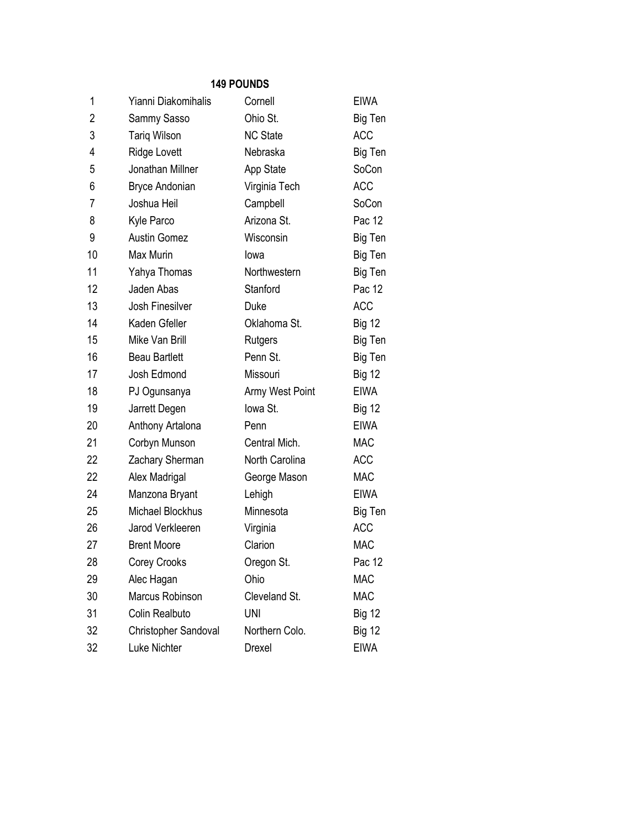| 1              | Yianni Diakomihalis   | Cornell         | <b>EIWA</b>   |
|----------------|-----------------------|-----------------|---------------|
| $\overline{2}$ | Sammy Sasso           | Ohio St.        | Big Ten       |
| 3              | <b>Tariq Wilson</b>   | <b>NC State</b> | <b>ACC</b>    |
| 4              | Ridge Lovett          | Nebraska        | Big Ten       |
| 5              | Jonathan Millner      | App State       | SoCon         |
| 6              | <b>Bryce Andonian</b> | Virginia Tech   | <b>ACC</b>    |
| 7              | Joshua Heil           | Campbell        | SoCon         |
| 8              | Kyle Parco            | Arizona St.     | Pac 12        |
| 9              | <b>Austin Gomez</b>   | Wisconsin       | Big Ten       |
| 10             | Max Murin             | lowa            | Big Ten       |
| 11             | Yahya Thomas          | Northwestern    | Big Ten       |
| 12             | Jaden Abas            | Stanford        | Pac 12        |
| 13             | Josh Finesilver       | Duke            | <b>ACC</b>    |
| 14             | Kaden Gfeller         | Oklahoma St.    | <b>Big 12</b> |
| 15             | Mike Van Brill        | Rutgers         | Big Ten       |
| 16             | <b>Beau Bartlett</b>  | Penn St.        | Big Ten       |
| 17             | Josh Edmond           | Missouri        | <b>Big 12</b> |
| 18             | PJ Ogunsanya          | Army West Point | <b>EIWA</b>   |
| 19             | Jarrett Degen         | lowa St.        | <b>Big 12</b> |
| 20             | Anthony Artalona      | Penn            | <b>EIWA</b>   |
| 21             | Corbyn Munson         | Central Mich.   | <b>MAC</b>    |
| 22             | Zachary Sherman       | North Carolina  | <b>ACC</b>    |
| 22             | Alex Madrigal         | George Mason    | <b>MAC</b>    |
| 24             | Manzona Bryant        | Lehigh          | <b>EIWA</b>   |
| 25             | Michael Blockhus      | Minnesota       | Big Ten       |
| 26             | Jarod Verkleeren      | Virginia        | <b>ACC</b>    |
| 27             | <b>Brent Moore</b>    | Clarion         | <b>MAC</b>    |
| 28             | Corey Crooks          | Oregon St.      | Pac 12        |
| 29             | Alec Hagan            | Ohio            | <b>MAC</b>    |
| 30             | Marcus Robinson       | Cleveland St.   | <b>MAC</b>    |
| 31             | Colin Realbuto        | <b>UNI</b>      | <b>Big 12</b> |
| 32             | Christopher Sandoval  | Northern Colo.  | <b>Big 12</b> |
| 32             | Luke Nichter          | Drexel          | <b>EIWA</b>   |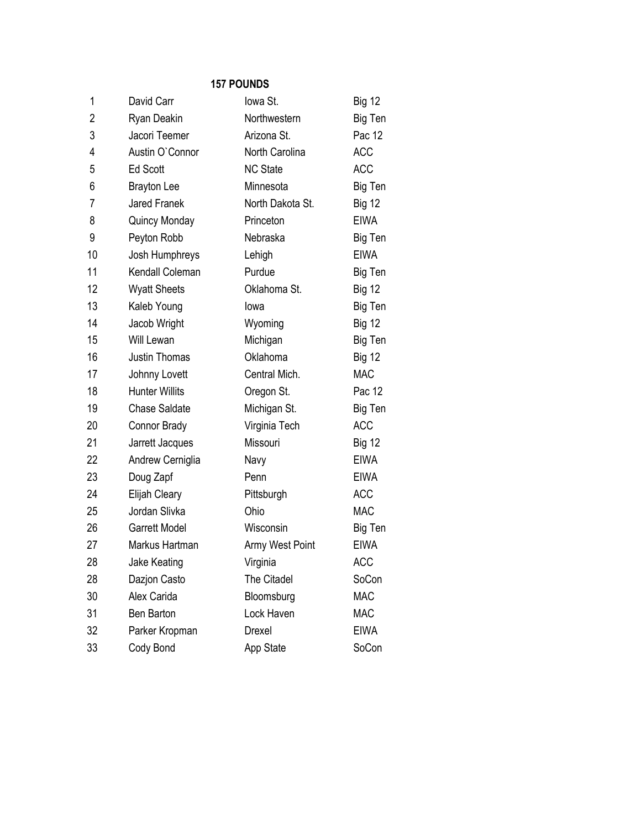| 1  | David Carr            | lowa St.         | <b>Big 12</b> |
|----|-----------------------|------------------|---------------|
| 2  | Ryan Deakin           | Northwestern     | Big Ten       |
| 3  | Jacori Teemer         | Arizona St.      | Pac 12        |
| 4  | Austin O'Connor       | North Carolina   | <b>ACC</b>    |
| 5  | <b>Ed Scott</b>       | <b>NC State</b>  | <b>ACC</b>    |
| 6  | <b>Brayton Lee</b>    | Minnesota        | Big Ten       |
| 7  | <b>Jared Franek</b>   | North Dakota St. | <b>Big 12</b> |
| 8  | Quincy Monday         | Princeton        | <b>EIWA</b>   |
| 9  | Peyton Robb           | Nebraska         | Big Ten       |
| 10 | Josh Humphreys        | Lehigh           | <b>EIWA</b>   |
| 11 | Kendall Coleman       | Purdue           | Big Ten       |
| 12 | <b>Wyatt Sheets</b>   | Oklahoma St.     | <b>Big 12</b> |
| 13 | Kaleb Young           | lowa             | Big Ten       |
| 14 | Jacob Wright          | Wyoming          | <b>Big 12</b> |
| 15 | <b>Will Lewan</b>     | Michigan         | Big Ten       |
| 16 | Justin Thomas         | Oklahoma         | <b>Big 12</b> |
| 17 | Johnny Lovett         | Central Mich.    | <b>MAC</b>    |
| 18 | <b>Hunter Willits</b> | Oregon St.       | Pac 12        |
| 19 | <b>Chase Saldate</b>  | Michigan St.     | Big Ten       |
| 20 | <b>Connor Brady</b>   | Virginia Tech    | <b>ACC</b>    |
| 21 | Jarrett Jacques       | Missouri         | <b>Big 12</b> |
| 22 | Andrew Cerniglia      | Navy             | <b>EIWA</b>   |
| 23 | Doug Zapf             | Penn             | <b>EIWA</b>   |
| 24 | Elijah Cleary         | Pittsburgh       | <b>ACC</b>    |
| 25 | Jordan Slivka         | Ohio             | <b>MAC</b>    |
| 26 | <b>Garrett Model</b>  | Wisconsin        | Big Ten       |
| 27 | Markus Hartman        | Army West Point  | <b>EIWA</b>   |
| 28 | Jake Keating          | Virginia         | ACC           |
| 28 | Dazjon Casto          | The Citadel      | SoCon         |
| 30 | Alex Carida           | Bloomsburg       | <b>MAC</b>    |
| 31 | Ben Barton            | Lock Haven       | <b>MAC</b>    |
| 32 | Parker Kropman        | <b>Drexel</b>    | <b>EIWA</b>   |
| 33 | Cody Bond             | App State        | SoCon         |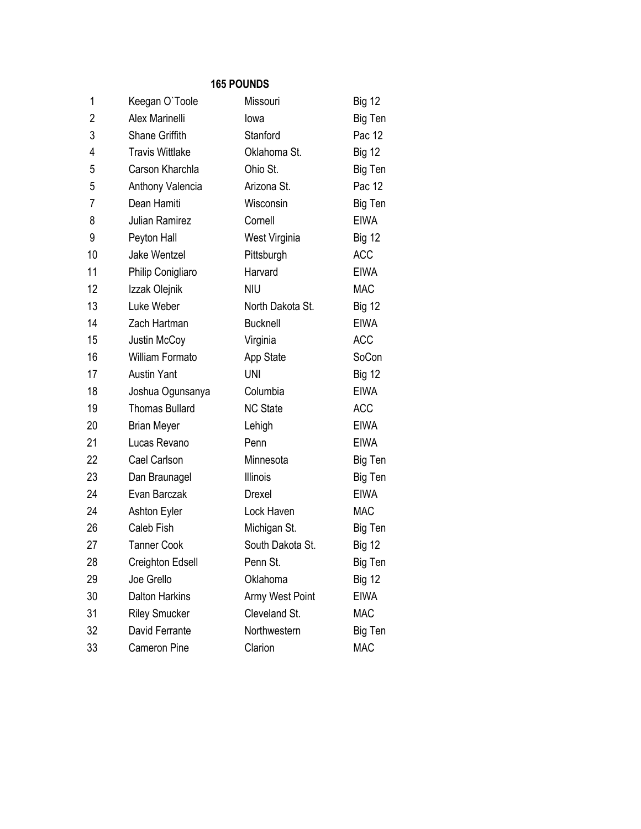| 1  | Keegan O'Toole         | Missouri         | <b>Big 12</b> |
|----|------------------------|------------------|---------------|
| 2  | Alex Marinelli         | lowa             | Big Ten       |
| 3  | Shane Griffith         | Stanford         | Pac 12        |
| 4  | <b>Travis Wittlake</b> | Oklahoma St.     | <b>Big 12</b> |
| 5  | Carson Kharchla        | Ohio St.         | Big Ten       |
| 5  | Anthony Valencia       | Arizona St.      | Pac 12        |
| 7  | Dean Hamiti            | Wisconsin        | Big Ten       |
| 8  | <b>Julian Ramirez</b>  | Cornell          | <b>EIWA</b>   |
| 9  | Peyton Hall            | West Virginia    | <b>Big 12</b> |
| 10 | Jake Wentzel           | Pittsburgh       | <b>ACC</b>    |
| 11 | Philip Conigliaro      | Harvard          | <b>EIWA</b>   |
| 12 | Izzak Olejnik          | <b>NIU</b>       | <b>MAC</b>    |
| 13 | Luke Weber             | North Dakota St. | <b>Big 12</b> |
| 14 | Zach Hartman           | <b>Bucknell</b>  | <b>EIWA</b>   |
| 15 | Justin McCoy           | Virginia         | <b>ACC</b>    |
| 16 | William Formato        | App State        | SoCon         |
| 17 | <b>Austin Yant</b>     | <b>UNI</b>       | <b>Big 12</b> |
| 18 | Joshua Ogunsanya       | Columbia         | <b>EIWA</b>   |
| 19 | <b>Thomas Bullard</b>  | <b>NC State</b>  | <b>ACC</b>    |
| 20 | <b>Brian Meyer</b>     | Lehigh           | <b>EIWA</b>   |
| 21 | Lucas Revano           | Penn             | <b>EIWA</b>   |
| 22 | Cael Carlson           | Minnesota        | Big Ten       |
| 23 | Dan Braunagel          | <b>Illinois</b>  | Big Ten       |
| 24 | Evan Barczak           | Drexel           | <b>EIWA</b>   |
| 24 | <b>Ashton Eyler</b>    | Lock Haven       | <b>MAC</b>    |
| 26 | Caleb Fish             | Michigan St.     | Big Ten       |
| 27 | <b>Tanner Cook</b>     | South Dakota St. | <b>Big 12</b> |
| 28 | Creighton Edsell       | Penn St.         | Big Ten       |
| 29 | Joe Grello             | Oklahoma         | <b>Big 12</b> |
| 30 | <b>Dalton Harkins</b>  | Army West Point  | <b>EIWA</b>   |
| 31 | <b>Riley Smucker</b>   | Cleveland St.    | <b>MAC</b>    |
| 32 | David Ferrante         | Northwestern     | Big Ten       |
| 33 | <b>Cameron Pine</b>    | Clarion          | <b>MAC</b>    |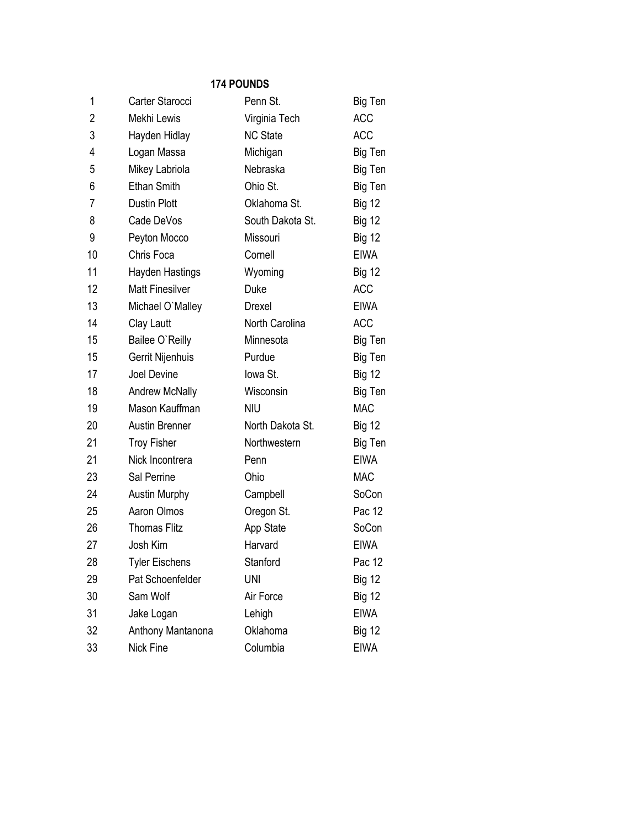| 1              | Carter Starocci        | Penn St.         | Big Ten       |
|----------------|------------------------|------------------|---------------|
| $\overline{2}$ | Mekhi Lewis            | Virginia Tech    | <b>ACC</b>    |
| 3              | Hayden Hidlay          | <b>NC State</b>  | <b>ACC</b>    |
| 4              | Logan Massa            | Michigan         | Big Ten       |
| 5              | Mikey Labriola         | Nebraska         | Big Ten       |
| 6              | <b>Ethan Smith</b>     | Ohio St.         | Big Ten       |
| 7              | Dustin Plott           | Oklahoma St.     | <b>Big 12</b> |
| 8              | Cade DeVos             | South Dakota St. | <b>Big 12</b> |
| 9              | Peyton Mocco           | Missouri         | <b>Big 12</b> |
| 10             | Chris Foca             | Cornell          | <b>EIWA</b>   |
| 11             | <b>Hayden Hastings</b> | Wyoming          | <b>Big 12</b> |
| 12             | <b>Matt Finesilver</b> | Duke             | <b>ACC</b>    |
| 13             | Michael O'Malley       | Drexel           | <b>EIWA</b>   |
| 14             | Clay Lautt             | North Carolina   | <b>ACC</b>    |
| 15             | Bailee O'Reilly        | Minnesota        | Big Ten       |
| 15             | Gerrit Nijenhuis       | Purdue           | Big Ten       |
| 17             | Joel Devine            | lowa St.         | <b>Big 12</b> |
| 18             | <b>Andrew McNally</b>  | Wisconsin        | Big Ten       |
| 19             | Mason Kauffman         | <b>NIU</b>       | <b>MAC</b>    |
| 20             | <b>Austin Brenner</b>  | North Dakota St. | <b>Big 12</b> |
| 21             | <b>Troy Fisher</b>     | Northwestern     | Big Ten       |
| 21             | Nick Incontrera        | Penn             | <b>EIWA</b>   |
| 23             | Sal Perrine            | Ohio             | <b>MAC</b>    |
| 24             | <b>Austin Murphy</b>   | Campbell         | SoCon         |
| 25             | Aaron Olmos            | Oregon St.       | Pac 12        |
| 26             | <b>Thomas Flitz</b>    | App State        | SoCon         |
| 27             | Josh Kim               | Harvard          | <b>EIWA</b>   |
| 28             | <b>Tyler Eischens</b>  | Stanford         | Pac 12        |
| 29             | Pat Schoenfelder       | <b>UNI</b>       | <b>Big 12</b> |
| 30             | Sam Wolf               | Air Force        | <b>Big 12</b> |
| 31             | Jake Logan             | Lehigh           | <b>EIWA</b>   |
| 32             | Anthony Mantanona      | Oklahoma         | <b>Big 12</b> |
| 33             | Nick Fine              | Columbia         | EIWA          |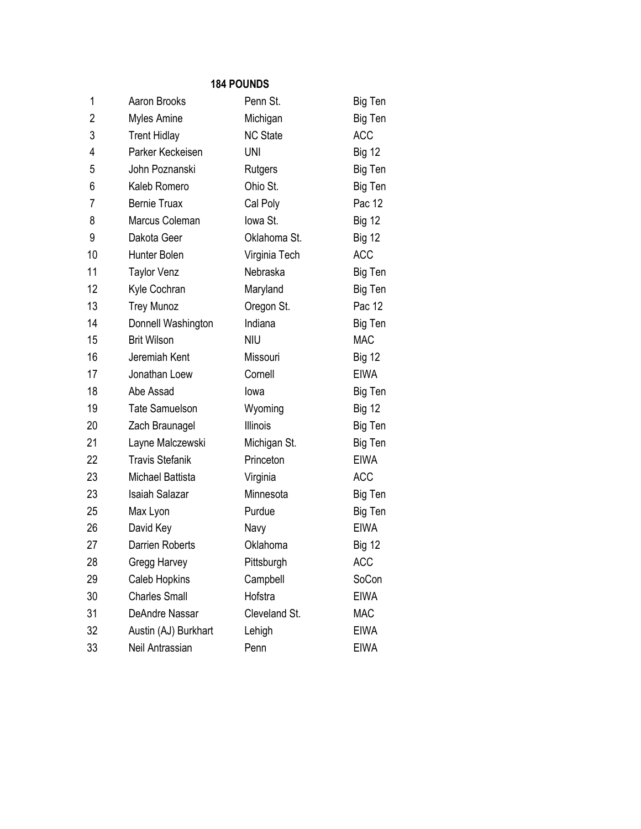| 1              | Aaron Brooks           | Penn St.        | Big Ten       |
|----------------|------------------------|-----------------|---------------|
| $\overline{2}$ | Myles Amine            | Michigan        | Big Ten       |
| 3              | <b>Trent Hidlay</b>    | <b>NC State</b> | <b>ACC</b>    |
| 4              | Parker Keckeisen       | <b>UNI</b>      | <b>Big 12</b> |
| 5              | John Poznanski         | Rutgers         | Big Ten       |
| 6              | Kaleb Romero           | Ohio St.        | Big Ten       |
| 7              | <b>Bernie Truax</b>    | Cal Poly        | Pac 12        |
| 8              | Marcus Coleman         | lowa St.        | <b>Big 12</b> |
| 9              | Dakota Geer            | Oklahoma St.    | <b>Big 12</b> |
| 10             | Hunter Bolen           | Virginia Tech   | <b>ACC</b>    |
| 11             | <b>Taylor Venz</b>     | Nebraska        | Big Ten       |
| 12             | Kyle Cochran           | Maryland        | Big Ten       |
| 13             | <b>Trey Munoz</b>      | Oregon St.      | Pac 12        |
| 14             | Donnell Washington     | Indiana         | Big Ten       |
| 15             | <b>Brit Wilson</b>     | <b>NIU</b>      | <b>MAC</b>    |
| 16             | Jeremiah Kent          | Missouri        | <b>Big 12</b> |
| 17             | Jonathan Loew          | Cornell         | <b>EIWA</b>   |
| 18             | Abe Assad              | lowa            | Big Ten       |
| 19             | <b>Tate Samuelson</b>  | Wyoming         | <b>Big 12</b> |
| 20             | Zach Braunagel         | <b>Illinois</b> | Big Ten       |
| 21             | Layne Malczewski       | Michigan St.    | Big Ten       |
| 22             | <b>Travis Stefanik</b> | Princeton       | <b>EIWA</b>   |
| 23             | Michael Battista       | Virginia        | <b>ACC</b>    |
| 23             | <b>Isaiah Salazar</b>  | Minnesota       | Big Ten       |
| 25             | Max Lyon               | Purdue          | Big Ten       |
| 26             | David Key              | Navy            | <b>EIWA</b>   |
| 27             | Darrien Roberts        | Oklahoma        | <b>Big 12</b> |
| 28             | Gregg Harvey           | Pittsburgh      | <b>ACC</b>    |
| 29             | Caleb Hopkins          | Campbell        | SoCon         |
| 30             | <b>Charles Small</b>   | Hofstra         | <b>EIWA</b>   |
| 31             | DeAndre Nassar         | Cleveland St.   | <b>MAC</b>    |
| 32             | Austin (AJ) Burkhart   | Lehigh          | <b>EIWA</b>   |
| 33             | Neil Antrassian        | Penn            | <b>EIWA</b>   |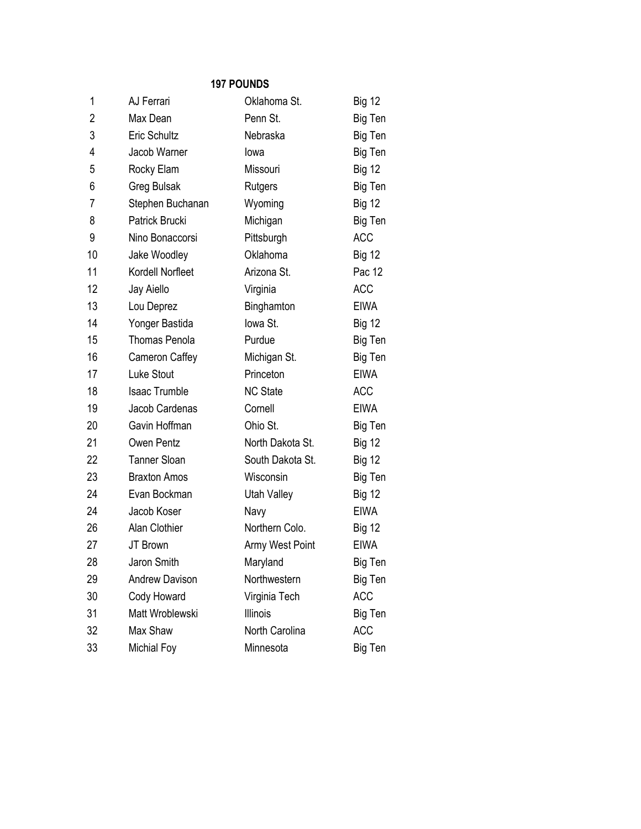| 1  | AJ Ferrari            | Oklahoma St.     | <b>Big 12</b> |
|----|-----------------------|------------------|---------------|
| 2  | Max Dean              | Penn St.         | Big Ten       |
| 3  | Eric Schultz          | Nebraska         | Big Ten       |
| 4  | Jacob Warner          | lowa             | Big Ten       |
| 5  | Rocky Elam            | Missouri         | <b>Big 12</b> |
| 6  | Greg Bulsak           | Rutgers          | Big Ten       |
| 7  | Stephen Buchanan      | Wyoming          | <b>Big 12</b> |
| 8  | Patrick Brucki        | Michigan         | Big Ten       |
| 9  | Nino Bonaccorsi       | Pittsburgh       | <b>ACC</b>    |
| 10 | Jake Woodley          | Oklahoma         | <b>Big 12</b> |
| 11 | Kordell Norfleet      | Arizona St.      | Pac 12        |
| 12 | Jay Aiello            | Virginia         | <b>ACC</b>    |
| 13 | Lou Deprez            | Binghamton       | <b>EIWA</b>   |
| 14 | Yonger Bastida        | lowa St.         | <b>Big 12</b> |
| 15 | <b>Thomas Penola</b>  | Purdue           | Big Ten       |
| 16 | Cameron Caffey        | Michigan St.     | Big Ten       |
| 17 | Luke Stout            | Princeton        | <b>EIWA</b>   |
| 18 | <b>Isaac Trumble</b>  | <b>NC State</b>  | <b>ACC</b>    |
| 19 | Jacob Cardenas        | Cornell          | <b>EIWA</b>   |
| 20 | Gavin Hoffman         | Ohio St.         | Big Ten       |
| 21 | Owen Pentz            | North Dakota St. | <b>Big 12</b> |
| 22 | <b>Tanner Sloan</b>   | South Dakota St. | <b>Big 12</b> |
| 23 | <b>Braxton Amos</b>   | Wisconsin        | Big Ten       |
| 24 | Evan Bockman          | Utah Valley      | <b>Big 12</b> |
| 24 | Jacob Koser           | Navy             | <b>EIWA</b>   |
| 26 | Alan Clothier         | Northern Colo.   | <b>Big 12</b> |
| 27 | JT Brown              | Army West Point  | <b>EIWA</b>   |
| 28 | Jaron Smith           | Maryland         | Big Ten       |
| 29 | <b>Andrew Davison</b> | Northwestern     | Big Ten       |
| 30 | Cody Howard           | Virginia Tech    | ACC           |
| 31 | Matt Wroblewski       | <b>Illinois</b>  | Big Ten       |
| 32 | Max Shaw              | North Carolina   | <b>ACC</b>    |
| 33 | Michial Foy           | Minnesota        | Big Ten       |